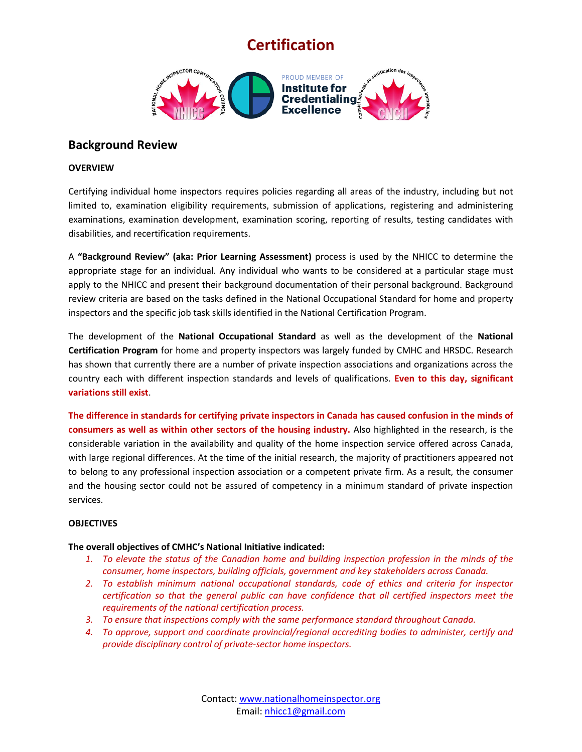# **Certification**



### **Background Review**

#### **OVERVIEW**

Certifying individual home inspectors requires policies regarding all areas of the industry, including but not limited to, examination eligibility requirements, submission of applications, registering and administering examinations, examination development, examination scoring, reporting of results, testing candidates with disabilities, and recertification requirements.

A **"Background Review" (aka: Prior Learning Assessment)** process is used by the NHICC to determine the appropriate stage for an individual. Any individual who wants to be considered at a particular stage must apply to the NHICC and present their background documentation of their personal background. Background review criteria are based on the tasks defined in the National Occupational Standard for home and property inspectors and the specific job task skills identified in the National Certification Program.

The development of the **National Occupational Standard** as well as the development of the **National Certification Program** for home and property inspectors was largely funded by CMHC and HRSDC. Research has shown that currently there are a number of private inspection associations and organizations across the country each with different inspection standards and levels of qualifications. **Even to this day, significant variations still exist**.

**The difference in standards for certifying private inspectors in Canada has caused confusion in the minds of consumers as well as within other sectors of the housing industry.** Also highlighted in the research, is the considerable variation in the availability and quality of the home inspection service offered across Canada, with large regional differences. At the time of the initial research, the majority of practitioners appeared not to belong to any professional inspection association or a competent private firm. As a result, the consumer and the housing sector could not be assured of competency in a minimum standard of private inspection services.

#### **OBJECTIVES**

#### **The overall objectives of CMHC's National Initiative indicated:**

- *1. To elevate the status of the Canadian home and building inspection profession in the minds of the consumer, home inspectors, building officials, government and key stakeholders across Canada.*
- *2. To establish minimum national occupational standards, code of ethics and criteria for inspector certification so that the general public can have confidence that all certified inspectors meet the requirements of the national certification process.*
- *3. To ensure that inspections comply with the same performance standard throughout Canada.*
- *4. To approve, support and coordinate provincial/regional accrediting bodies to administer, certify and provide disciplinary control of private-sector home inspectors.*